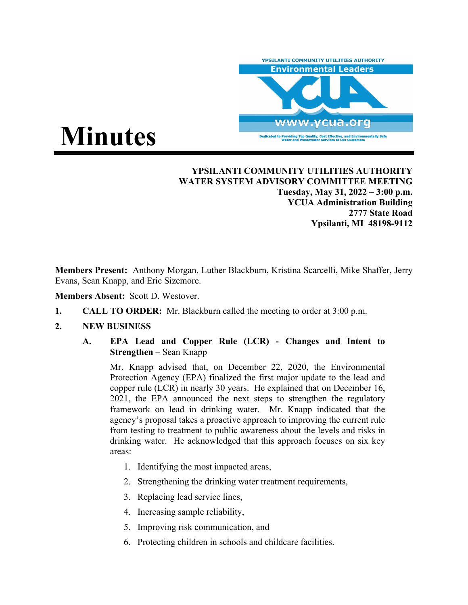

# **Minutes**

**YPSILANTI COMMUNITY UTILITIES AUTHORITY WATER SYSTEM ADVISORY COMMITTEE MEETING Tuesday, May 31, 2022 – 3:00 p.m. YCUA Administration Building 2777 State Road Ypsilanti, MI 48198-9112** 

**Members Present:** Anthony Morgan, Luther Blackburn, Kristina Scarcelli, Mike Shaffer, Jerry Evans, Sean Knapp, and Eric Sizemore.

**Members Absent:** Scott D. Westover.

- **1. CALL TO ORDER:** Mr. Blackburn called the meeting to order at 3:00 p.m.
- **2. NEW BUSINESS**
	- **A. EPA Lead and Copper Rule (LCR) Changes and Intent to Strengthen –** Sean Knapp

Mr. Knapp advised that, on December 22, 2020, the Environmental Protection Agency (EPA) finalized the first major update to the lead and copper rule (LCR) in nearly 30 years. He explained that on December 16, 2021, the EPA announced the next steps to strengthen the regulatory framework on lead in drinking water. Mr. Knapp indicated that the agency's proposal takes a proactive approach to improving the current rule from testing to treatment to public awareness about the levels and risks in drinking water. He acknowledged that this approach focuses on six key areas:

- 1. Identifying the most impacted areas,
- 2. Strengthening the drinking water treatment requirements,
- 3. Replacing lead service lines,
- 4. Increasing sample reliability,
- 5. Improving risk communication, and
- 6. Protecting children in schools and childcare facilities.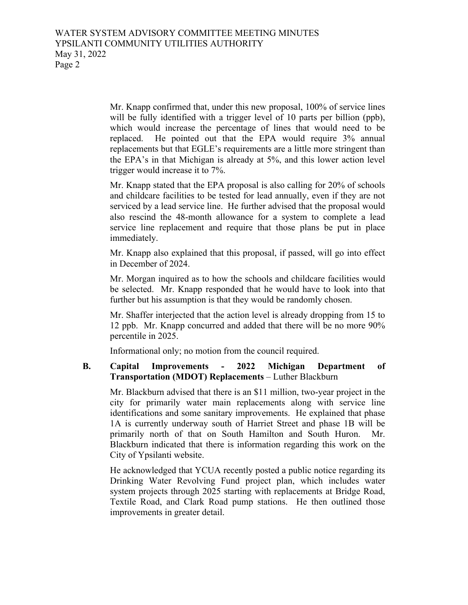Mr. Knapp confirmed that, under this new proposal, 100% of service lines will be fully identified with a trigger level of 10 parts per billion (ppb), which would increase the percentage of lines that would need to be replaced. He pointed out that the EPA would require 3% annual replacements but that EGLE's requirements are a little more stringent than the EPA's in that Michigan is already at 5%, and this lower action level trigger would increase it to 7%.

Mr. Knapp stated that the EPA proposal is also calling for 20% of schools and childcare facilities to be tested for lead annually, even if they are not serviced by a lead service line. He further advised that the proposal would also rescind the 48-month allowance for a system to complete a lead service line replacement and require that those plans be put in place immediately.

Mr. Knapp also explained that this proposal, if passed, will go into effect in December of 2024.

Mr. Morgan inquired as to how the schools and childcare facilities would be selected. Mr. Knapp responded that he would have to look into that further but his assumption is that they would be randomly chosen.

Mr. Shaffer interjected that the action level is already dropping from 15 to 12 ppb. Mr. Knapp concurred and added that there will be no more 90% percentile in 2025.

Informational only; no motion from the council required.

## **B. Capital Improvements - 2022 Michigan Department of Transportation (MDOT) Replacements** – Luther Blackburn

Mr. Blackburn advised that there is an \$11 million, two-year project in the city for primarily water main replacements along with service line identifications and some sanitary improvements. He explained that phase 1A is currently underway south of Harriet Street and phase 1B will be primarily north of that on South Hamilton and South Huron. Mr. Blackburn indicated that there is information regarding this work on the City of Ypsilanti website.

He acknowledged that YCUA recently posted a public notice regarding its Drinking Water Revolving Fund project plan, which includes water system projects through 2025 starting with replacements at Bridge Road, Textile Road, and Clark Road pump stations. He then outlined those improvements in greater detail.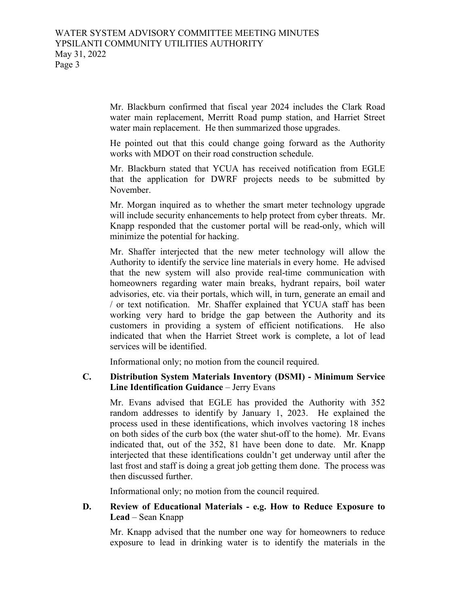Mr. Blackburn confirmed that fiscal year 2024 includes the Clark Road water main replacement, Merritt Road pump station, and Harriet Street water main replacement. He then summarized those upgrades.

He pointed out that this could change going forward as the Authority works with MDOT on their road construction schedule.

Mr. Blackburn stated that YCUA has received notification from EGLE that the application for DWRF projects needs to be submitted by November.

Mr. Morgan inquired as to whether the smart meter technology upgrade will include security enhancements to help protect from cyber threats. Mr. Knapp responded that the customer portal will be read-only, which will minimize the potential for hacking.

Mr. Shaffer interjected that the new meter technology will allow the Authority to identify the service line materials in every home. He advised that the new system will also provide real-time communication with homeowners regarding water main breaks, hydrant repairs, boil water advisories, etc. via their portals, which will, in turn, generate an email and / or text notification. Mr. Shaffer explained that YCUA staff has been working very hard to bridge the gap between the Authority and its customers in providing a system of efficient notifications. He also indicated that when the Harriet Street work is complete, a lot of lead services will be identified.

Informational only; no motion from the council required.

## **C. Distribution System Materials Inventory (DSMI) - Minimum Service Line Identification Guidance** – Jerry Evans

Mr. Evans advised that EGLE has provided the Authority with 352 random addresses to identify by January 1, 2023. He explained the process used in these identifications, which involves vactoring 18 inches on both sides of the curb box (the water shut-off to the home). Mr. Evans indicated that, out of the 352, 81 have been done to date. Mr. Knapp interjected that these identifications couldn't get underway until after the last frost and staff is doing a great job getting them done. The process was then discussed further.

Informational only; no motion from the council required.

## **D. Review of Educational Materials - e.g. How to Reduce Exposure to Lead** – Sean Knapp

Mr. Knapp advised that the number one way for homeowners to reduce exposure to lead in drinking water is to identify the materials in the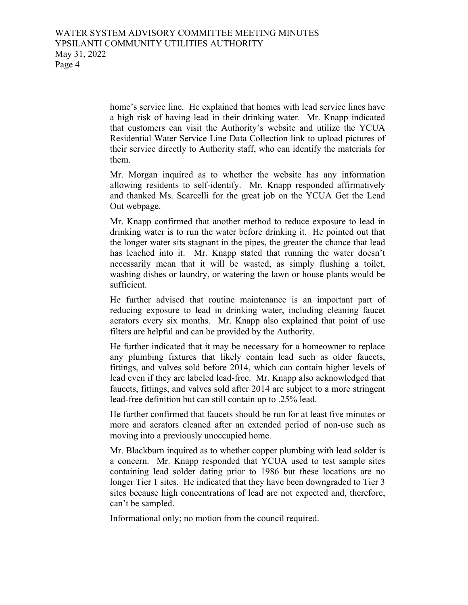home's service line. He explained that homes with lead service lines have a high risk of having lead in their drinking water. Mr. Knapp indicated that customers can visit the Authority's website and utilize the YCUA Residential Water Service Line Data Collection link to upload pictures of their service directly to Authority staff, who can identify the materials for them.

Mr. Morgan inquired as to whether the website has any information allowing residents to self-identify. Mr. Knapp responded affirmatively and thanked Ms. Scarcelli for the great job on the YCUA Get the Lead Out webpage.

Mr. Knapp confirmed that another method to reduce exposure to lead in drinking water is to run the water before drinking it. He pointed out that the longer water sits stagnant in the pipes, the greater the chance that lead has leached into it. Mr. Knapp stated that running the water doesn't necessarily mean that it will be wasted, as simply flushing a toilet, washing dishes or laundry, or watering the lawn or house plants would be sufficient.

He further advised that routine maintenance is an important part of reducing exposure to lead in drinking water, including cleaning faucet aerators every six months. Mr. Knapp also explained that point of use filters are helpful and can be provided by the Authority.

He further indicated that it may be necessary for a homeowner to replace any plumbing fixtures that likely contain lead such as older faucets, fittings, and valves sold before 2014, which can contain higher levels of lead even if they are labeled lead-free. Mr. Knapp also acknowledged that faucets, fittings, and valves sold after 2014 are subject to a more stringent lead-free definition but can still contain up to .25% lead.

He further confirmed that faucets should be run for at least five minutes or more and aerators cleaned after an extended period of non-use such as moving into a previously unoccupied home.

Mr. Blackburn inquired as to whether copper plumbing with lead solder is a concern. Mr. Knapp responded that YCUA used to test sample sites containing lead solder dating prior to 1986 but these locations are no longer Tier 1 sites. He indicated that they have been downgraded to Tier 3 sites because high concentrations of lead are not expected and, therefore, can't be sampled.

Informational only; no motion from the council required.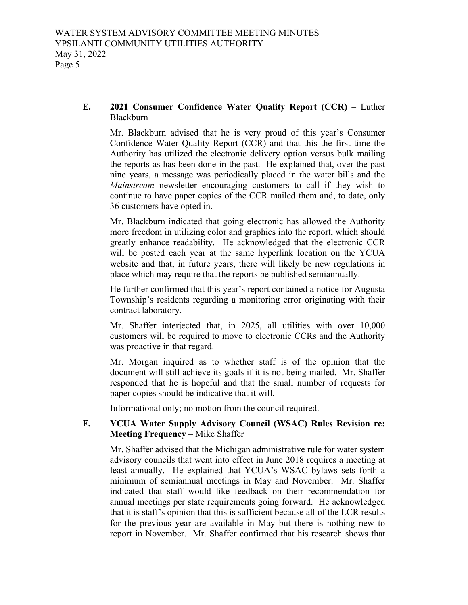## **E. 2021 Consumer Confidence Water Quality Report (CCR)** – Luther Blackburn

Mr. Blackburn advised that he is very proud of this year's Consumer Confidence Water Quality Report (CCR) and that this the first time the Authority has utilized the electronic delivery option versus bulk mailing the reports as has been done in the past. He explained that, over the past nine years, a message was periodically placed in the water bills and the *Mainstream* newsletter encouraging customers to call if they wish to continue to have paper copies of the CCR mailed them and, to date, only 36 customers have opted in.

Mr. Blackburn indicated that going electronic has allowed the Authority more freedom in utilizing color and graphics into the report, which should greatly enhance readability. He acknowledged that the electronic CCR will be posted each year at the same hyperlink location on the YCUA website and that, in future years, there will likely be new regulations in place which may require that the reports be published semiannually.

He further confirmed that this year's report contained a notice for Augusta Township's residents regarding a monitoring error originating with their contract laboratory.

Mr. Shaffer interjected that, in 2025, all utilities with over 10,000 customers will be required to move to electronic CCRs and the Authority was proactive in that regard.

Mr. Morgan inquired as to whether staff is of the opinion that the document will still achieve its goals if it is not being mailed. Mr. Shaffer responded that he is hopeful and that the small number of requests for paper copies should be indicative that it will.

Informational only; no motion from the council required.

# **F. YCUA Water Supply Advisory Council (WSAC) Rules Revision re: Meeting Frequency** – Mike Shaffer

Mr. Shaffer advised that the Michigan administrative rule for water system advisory councils that went into effect in June 2018 requires a meeting at least annually. He explained that YCUA's WSAC bylaws sets forth a minimum of semiannual meetings in May and November. Mr. Shaffer indicated that staff would like feedback on their recommendation for annual meetings per state requirements going forward. He acknowledged that it is staff's opinion that this is sufficient because all of the LCR results for the previous year are available in May but there is nothing new to report in November. Mr. Shaffer confirmed that his research shows that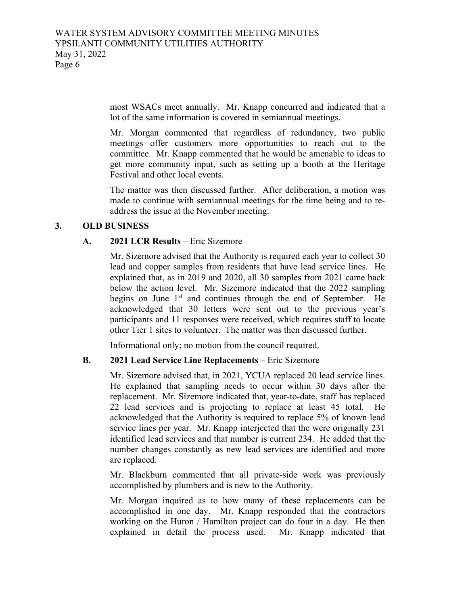most WSACs meet annually. Mr. Knapp concurred and indicated that a lot of the same information is covered in semiannual meetings.

Mr. Morgan commented that regardless of redundancy, two public meetings offer customers more opportunities to reach out to the committee. Mr. Knapp commented that he would be amenable to ideas to get more community input, such as setting up a booth at the Heritage Festival and other local events.

The matter was then discussed further. After deliberation, a motion was made to continue with semiannual meetings for the time being and to readdress the issue at the November meeting.

## **3. OLD BUSINESS**

## **A. 2021 LCR Results** – Eric Sizemore

Mr. Sizemore advised that the Authority is required each year to collect 30 lead and copper samples from residents that have lead service lines. He explained that, as in 2019 and 2020, all 30 samples from 2021 came back below the action level. Mr. Sizemore indicated that the 2022 sampling begins on June 1<sup>st</sup> and continues through the end of September. He acknowledged that 30 letters were sent out to the previous year's participants and 11 responses were received, which requires staff to locate other Tier 1 sites to volunteer. The matter was then discussed further.

Informational only; no motion from the council required.

# **B. 2021 Lead Service Line Replacements** – Eric Sizemore

Mr. Sizemore advised that, in 2021, YCUA replaced 20 lead service lines. He explained that sampling needs to occur within 30 days after the replacement. Mr. Sizemore indicated that, year-to-date, staff has replaced 22 lead services and is projecting to replace at least 45 total. He acknowledged that the Authority is required to replace 5% of known lead service lines per year. Mr. Knapp interjected that the were originally 231 identified lead services and that number is current 234. He added that the number changes constantly as new lead services are identified and more are replaced.

Mr. Blackburn commented that all private-side work was previously accomplished by plumbers and is new to the Authority.

Mr. Morgan inquired as to how many of these replacements can be accomplished in one day. Mr. Knapp responded that the contractors working on the Huron / Hamilton project can do four in a day. He then explained in detail the process used. Mr. Knapp indicated that